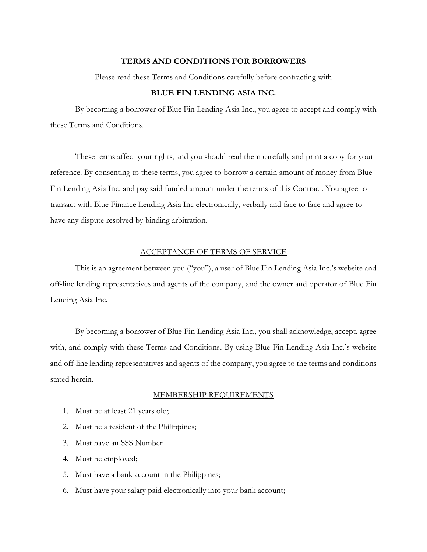### **TERMS AND CONDITIONS FOR BORROWERS**

Please read these Terms and Conditions carefully before contracting with

## **BLUE FIN LENDING ASIA INC.**

By becoming a borrower of Blue Fin Lending Asia Inc., you agree to accept and comply with these Terms and Conditions.

These terms affect your rights, and you should read them carefully and print a copy for your reference. By consenting to these terms, you agree to borrow a certain amount of money from Blue Fin Lending Asia Inc. and pay said funded amount under the terms of this Contract. You agree to transact with Blue Finance Lending Asia Inc electronically, verbally and face to face and agree to have any dispute resolved by binding arbitration.

#### ACCEPTANCE OF TERMS OF SERVICE

This is an agreement between you ("you"), a user of Blue Fin Lending Asia Inc.'s website and off-line lending representatives and agents of the company, and the owner and operator of Blue Fin Lending Asia Inc.

By becoming a borrower of Blue Fin Lending Asia Inc., you shall acknowledge, accept, agree with, and comply with these Terms and Conditions. By using Blue Fin Lending Asia Inc.'s website and off-line lending representatives and agents of the company, you agree to the terms and conditions stated herein.

#### MEMBERSHIP REQUIREMENTS

- 1. Must be at least 21 years old;
- 2. Must be a resident of the Philippines;
- 3. Must have an SSS Number
- 4. Must be employed;
- 5. Must have a bank account in the Philippines;
- 6. Must have your salary paid electronically into your bank account;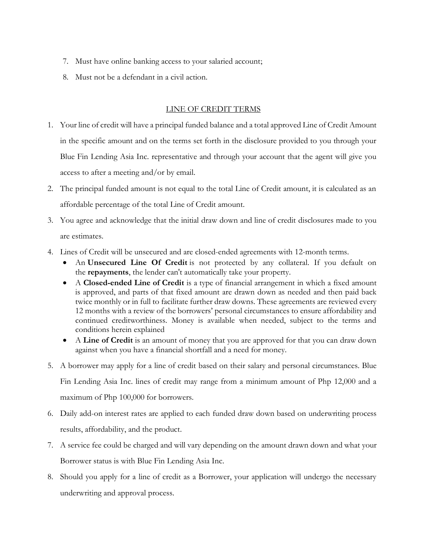- 7. Must have online banking access to your salaried account;
- 8. Must not be a defendant in a civil action.

# LINE OF CREDIT TERMS

- 1. Your line of credit will have a principal funded balance and a total approved Line of Credit Amount in the specific amount and on the terms set forth in the disclosure provided to you through your Blue Fin Lending Asia Inc. representative and through your account that the agent will give you access to after a meeting and/or by email.
- 2. The principal funded amount is not equal to the total Line of Credit amount, it is calculated as an affordable percentage of the total Line of Credit amount.
- 3. You agree and acknowledge that the initial draw down and line of credit disclosures made to you are estimates.
- 4. Lines of Credit will be unsecured and are closed-ended agreements with 12-month terms.
	- An **Unsecured Line Of Credit** is not protected by any collateral. If you default on the **repayments**, the lender can't automatically take your property.
	- A **Closed-ended Line of Credit** is a type of financial arrangement in which a fixed amount is approved, and parts of that fixed amount are drawn down as needed and then paid back twice monthly or in full to facilitate further draw downs. These agreements are reviewed every 12 months with a review of the borrowers' personal circumstances to ensure affordability and continued creditworthiness. Money is available when needed, subject to the terms and conditions herein explained
	- A **Line of Credit** is an amount of money that you are approved for that you can draw down against when you have a financial shortfall and a need for money.
- 5. A borrower may apply for a line of credit based on their salary and personal circumstances. Blue Fin Lending Asia Inc. lines of credit may range from a minimum amount of Php 12,000 and a maximum of Php 100,000 for borrowers.
- 6. Daily add-on interest rates are applied to each funded draw down based on underwriting process results, affordability, and the product.
- 7. A service fee could be charged and will vary depending on the amount drawn down and what your Borrower status is with Blue Fin Lending Asia Inc.
- 8. Should you apply for a line of credit as a Borrower, your application will undergo the necessary underwriting and approval process.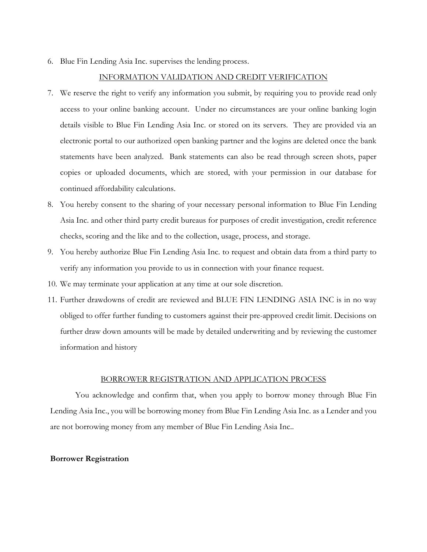6. Blue Fin Lending Asia Inc. supervises the lending process.

## INFORMATION VALIDATION AND CREDIT VERIFICATION

- 7. We reserve the right to verify any information you submit, by requiring you to provide read only access to your online banking account. Under no circumstances are your online banking login details visible to Blue Fin Lending Asia Inc. or stored on its servers. They are provided via an electronic portal to our authorized open banking partner and the logins are deleted once the bank statements have been analyzed. Bank statements can also be read through screen shots, paper copies or uploaded documents, which are stored, with your permission in our database for continued affordability calculations.
- 8. You hereby consent to the sharing of your necessary personal information to Blue Fin Lending Asia Inc. and other third party credit bureaus for purposes of credit investigation, credit reference checks, scoring and the like and to the collection, usage, process, and storage.
- 9. You hereby authorize Blue Fin Lending Asia Inc. to request and obtain data from a third party to verify any information you provide to us in connection with your finance request.
- 10. We may terminate your application at any time at our sole discretion.
- 11. Further drawdowns of credit are reviewed and BLUE FIN LENDING ASIA INC is in no way obliged to offer further funding to customers against their pre-approved credit limit. Decisions on further draw down amounts will be made by detailed underwriting and by reviewing the customer information and history

#### BORROWER REGISTRATION AND APPLICATION PROCESS

You acknowledge and confirm that, when you apply to borrow money through Blue Fin Lending Asia Inc., you will be borrowing money from Blue Fin Lending Asia Inc. as a Lender and you are not borrowing money from any member of Blue Fin Lending Asia Inc..

#### **Borrower Registration**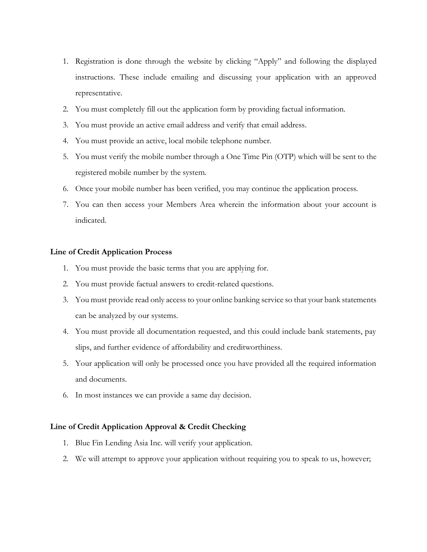- 1. Registration is done through the website by clicking "Apply" and following the displayed instructions. These include emailing and discussing your application with an approved representative.
- 2. You must completely fill out the application form by providing factual information.
- 3. You must provide an active email address and verify that email address.
- 4. You must provide an active, local mobile telephone number.
- 5. You must verify the mobile number through a One Time Pin (OTP) which will be sent to the registered mobile number by the system.
- 6. Once your mobile number has been verified, you may continue the application process.
- 7. You can then access your Members Area wherein the information about your account is indicated.

## **Line of Credit Application Process**

- 1. You must provide the basic terms that you are applying for.
- 2. You must provide factual answers to credit-related questions.
- 3. You must provide read only access to your online banking service so that your bank statements can be analyzed by our systems.
- 4. You must provide all documentation requested, and this could include bank statements, pay slips, and further evidence of affordability and creditworthiness.
- 5. Your application will only be processed once you have provided all the required information and documents.
- 6. In most instances we can provide a same day decision.

### **Line of Credit Application Approval & Credit Checking**

- 1. Blue Fin Lending Asia Inc. will verify your application.
- 2. We will attempt to approve your application without requiring you to speak to us, however;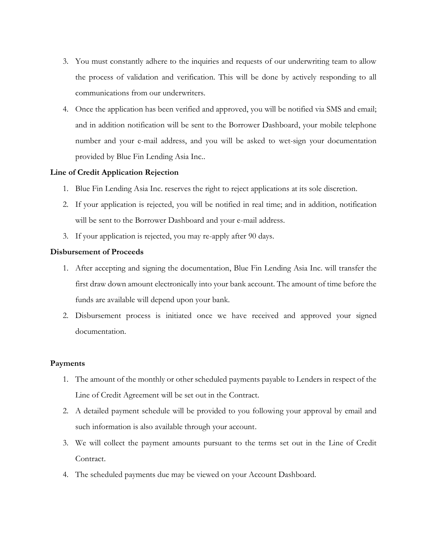- 3. You must constantly adhere to the inquiries and requests of our underwriting team to allow the process of validation and verification. This will be done by actively responding to all communications from our underwriters.
- 4. Once the application has been verified and approved, you will be notified via SMS and email; and in addition notification will be sent to the Borrower Dashboard, your mobile telephone number and your e-mail address, and you will be asked to wet-sign your documentation provided by Blue Fin Lending Asia Inc..

# **Line of Credit Application Rejection**

- 1. Blue Fin Lending Asia Inc. reserves the right to reject applications at its sole discretion.
- 2. If your application is rejected, you will be notified in real time; and in addition, notification will be sent to the Borrower Dashboard and your e-mail address.
- 3. If your application is rejected, you may re-apply after 90 days.

## **Disbursement of Proceeds**

- 1. After accepting and signing the documentation, Blue Fin Lending Asia Inc. will transfer the first draw down amount electronically into your bank account. The amount of time before the funds are available will depend upon your bank.
- 2. Disbursement process is initiated once we have received and approved your signed documentation.

## **Payments**

- 1. The amount of the monthly or other scheduled payments payable to Lenders in respect of the Line of Credit Agreement will be set out in the Contract.
- 2. A detailed payment schedule will be provided to you following your approval by email and such information is also available through your account.
- 3. We will collect the payment amounts pursuant to the terms set out in the Line of Credit Contract.
- 4. The scheduled payments due may be viewed on your Account Dashboard.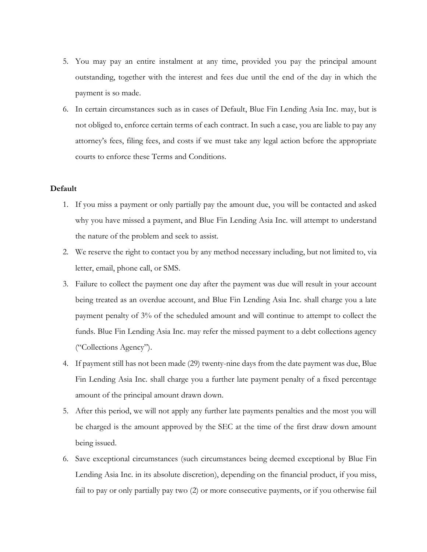- 5. You may pay an entire instalment at any time, provided you pay the principal amount outstanding, together with the interest and fees due until the end of the day in which the payment is so made.
- 6. In certain circumstances such as in cases of Default, Blue Fin Lending Asia Inc. may, but is not obliged to, enforce certain terms of each contract. In such a case, you are liable to pay any attorney's fees, filing fees, and costs if we must take any legal action before the appropriate courts to enforce these Terms and Conditions.

## **Default**

- 1. If you miss a payment or only partially pay the amount due, you will be contacted and asked why you have missed a payment, and Blue Fin Lending Asia Inc. will attempt to understand the nature of the problem and seek to assist.
- 2. We reserve the right to contact you by any method necessary including, but not limited to, via letter, email, phone call, or SMS.
- 3. Failure to collect the payment one day after the payment was due will result in your account being treated as an overdue account, and Blue Fin Lending Asia Inc. shall charge you a late payment penalty of 3% of the scheduled amount and will continue to attempt to collect the funds. Blue Fin Lending Asia Inc. may refer the missed payment to a debt collections agency ("Collections Agency").
- 4. If payment still has not been made (29) twenty-nine days from the date payment was due, Blue Fin Lending Asia Inc. shall charge you a further late payment penalty of a fixed percentage amount of the principal amount drawn down.
- 5. After this period, we will not apply any further late payments penalties and the most you will be charged is the amount approved by the SEC at the time of the first draw down amount being issued.
- 6. Save exceptional circumstances (such circumstances being deemed exceptional by Blue Fin Lending Asia Inc. in its absolute discretion), depending on the financial product, if you miss, fail to pay or only partially pay two (2) or more consecutive payments, or if you otherwise fail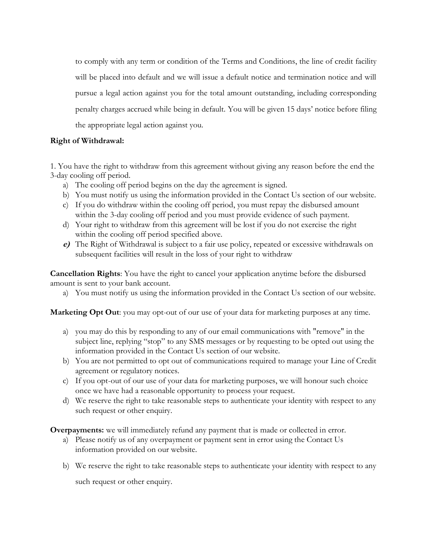to comply with any term or condition of the Terms and Conditions, the line of credit facility will be placed into default and we will issue a default notice and termination notice and will pursue a legal action against you for the total amount outstanding, including corresponding penalty charges accrued while being in default. You will be given 15 days' notice before filing the appropriate legal action against you.

# **Right of Withdrawal:**

1. You have the right to withdraw from this agreement without giving any reason before the end the 3-day cooling off period.

- a) The cooling off period begins on the day the agreement is signed.
- b) You must notify us using the information provided in the Contact Us section of our website.
- c) If you do withdraw within the cooling off period, you must repay the disbursed amount within the 3-day cooling off period and you must provide evidence of such payment.
- d) Your right to withdraw from this agreement will be lost if you do not exercise the right within the cooling off period specified above.
- **e)** The Right of Withdrawal is subject to a fair use policy, repeated or excessive withdrawals on subsequent facilities will result in the loss of your right to withdraw

**Cancellation Rights**: You have the right to cancel your application anytime before the disbursed amount is sent to your bank account.

a) You must notify us using the information provided in the Contact Us section of our website.

**Marketing Opt Out**: you may opt-out of our use of your data for marketing purposes at any time.

- a) you may do this by responding to any of our email communications with "remove" in the subject line, replying "stop" to any SMS messages or by requesting to be opted out using the information provided in the Contact Us section of our website.
- b) You are not permitted to opt out of communications required to manage your Line of Credit agreement or regulatory notices.
- c) If you opt-out of our use of your data for marketing purposes, we will honour such choice once we have had a reasonable opportunity to process your request.
- d) We reserve the right to take reasonable steps to authenticate your identity with respect to any such request or other enquiry.

**Overpayments:** we will immediately refund any payment that is made or collected in error.

- a) Please notify us of any overpayment or payment sent in error using the Contact Us information provided on our website.
- b) We reserve the right to take reasonable steps to authenticate your identity with respect to any

such request or other enquiry.